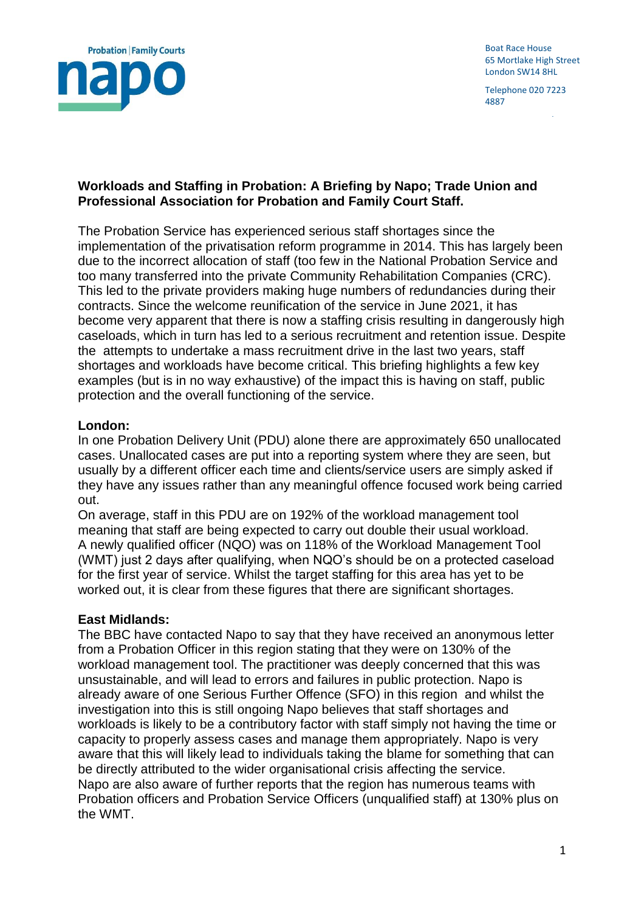

Boat Race House 65 Mortlake High Street London SW14 8HL

Telephone 020 7223 4887

www.napo.org.uk

## **Workloads and Staffing in Probation: A Briefing by Napo; Trade Union and Professional Association for Probation and Family Court Staff.**

The Probation Service has experienced serious staff shortages since the implementation of the privatisation reform programme in 2014. This has largely been due to the incorrect allocation of staff (too few in the National Probation Service and too many transferred into the private Community Rehabilitation Companies (CRC). This led to the private providers making huge numbers of redundancies during their contracts. Since the welcome reunification of the service in June 2021, it has become very apparent that there is now a staffing crisis resulting in dangerously high caseloads, which in turn has led to a serious recruitment and retention issue. Despite the attempts to undertake a mass recruitment drive in the last two years, staff shortages and workloads have become critical. This briefing highlights a few key examples (but is in no way exhaustive) of the impact this is having on staff, public protection and the overall functioning of the service.

### **London:**

In one Probation Delivery Unit (PDU) alone there are approximately 650 unallocated cases. Unallocated cases are put into a reporting system where they are seen, but usually by a different officer each time and clients/service users are simply asked if they have any issues rather than any meaningful offence focused work being carried out.

On average, staff in this PDU are on 192% of the workload management tool meaning that staff are being expected to carry out double their usual workload. A newly qualified officer (NQO) was on 118% of the Workload Management Tool (WMT) just 2 days after qualifying, when NQO's should be on a protected caseload for the first year of service. Whilst the target staffing for this area has yet to be worked out, it is clear from these figures that there are significant shortages.

#### **East Midlands:**

The BBC have contacted Napo to say that they have received an anonymous letter from a Probation Officer in this region stating that they were on 130% of the workload management tool. The practitioner was deeply concerned that this was unsustainable, and will lead to errors and failures in public protection. Napo is already aware of one Serious Further Offence (SFO) in this region and whilst the investigation into this is still ongoing Napo believes that staff shortages and workloads is likely to be a contributory factor with staff simply not having the time or capacity to properly assess cases and manage them appropriately. Napo is very aware that this will likely lead to individuals taking the blame for something that can be directly attributed to the wider organisational crisis affecting the service. Napo are also aware of further reports that the region has numerous teams with Probation officers and Probation Service Officers (unqualified staff) at 130% plus on the WMT.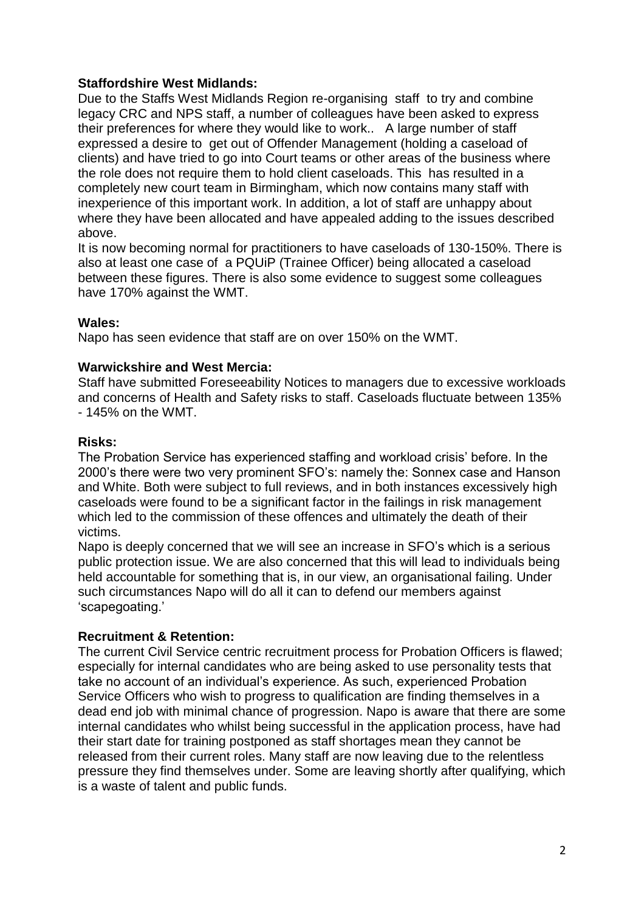# **Staffordshire West Midlands:**

Due to the Staffs West Midlands Region re-organising staff to try and combine legacy CRC and NPS staff, a number of colleagues have been asked to express their preferences for where they would like to work.. A large number of staff expressed a desire to get out of Offender Management (holding a caseload of clients) and have tried to go into Court teams or other areas of the business where the role does not require them to hold client caseloads. This has resulted in a completely new court team in Birmingham, which now contains many staff with inexperience of this important work. In addition, a lot of staff are unhappy about where they have been allocated and have appealed adding to the issues described above.

It is now becoming normal for practitioners to have caseloads of 130-150%. There is also at least one case of a PQUiP (Trainee Officer) being allocated a caseload between these figures. There is also some evidence to suggest some colleagues have 170% against the WMT.

## **Wales:**

Napo has seen evidence that staff are on over 150% on the WMT.

## **Warwickshire and West Mercia:**

Staff have submitted Foreseeability Notices to managers due to excessive workloads and concerns of Health and Safety risks to staff. Caseloads fluctuate between 135% - 145% on the WMT.

### **Risks:**

The Probation Service has experienced staffing and workload crisis' before. In the 2000's there were two very prominent SFO's: namely the: Sonnex case and Hanson and White. Both were subject to full reviews, and in both instances excessively high caseloads were found to be a significant factor in the failings in risk management which led to the commission of these offences and ultimately the death of their victims.

Napo is deeply concerned that we will see an increase in SFO's which is a serious public protection issue. We are also concerned that this will lead to individuals being held accountable for something that is, in our view, an organisational failing. Under such circumstances Napo will do all it can to defend our members against 'scapegoating.'

## **Recruitment & Retention:**

The current Civil Service centric recruitment process for Probation Officers is flawed; especially for internal candidates who are being asked to use personality tests that take no account of an individual's experience. As such, experienced Probation Service Officers who wish to progress to qualification are finding themselves in a dead end job with minimal chance of progression. Napo is aware that there are some internal candidates who whilst being successful in the application process, have had their start date for training postponed as staff shortages mean they cannot be released from their current roles. Many staff are now leaving due to the relentless pressure they find themselves under. Some are leaving shortly after qualifying, which is a waste of talent and public funds.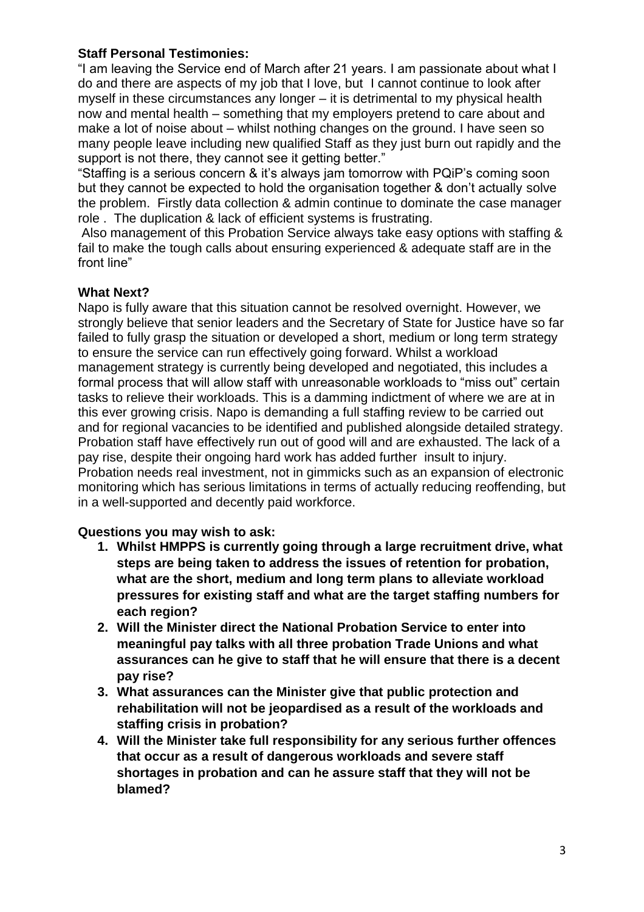## **Staff Personal Testimonies:**

"I am leaving the Service end of March after 21 years. I am passionate about what I do and there are aspects of my job that I love, but I cannot continue to look after myself in these circumstances any longer – it is detrimental to my physical health now and mental health – something that my employers pretend to care about and make a lot of noise about – whilst nothing changes on the ground. I have seen so many people leave including new qualified Staff as they just burn out rapidly and the support is not there, they cannot see it getting better."

"Staffing is a serious concern & it's always jam tomorrow with PQiP's coming soon but they cannot be expected to hold the organisation together & don't actually solve the problem. Firstly data collection & admin continue to dominate the case manager role . The duplication & lack of efficient systems is frustrating.

Also management of this Probation Service always take easy options with staffing & fail to make the tough calls about ensuring experienced & adequate staff are in the front line"

## **What Next?**

Napo is fully aware that this situation cannot be resolved overnight. However, we strongly believe that senior leaders and the Secretary of State for Justice have so far failed to fully grasp the situation or developed a short, medium or long term strategy to ensure the service can run effectively going forward. Whilst a workload management strategy is currently being developed and negotiated, this includes a formal process that will allow staff with unreasonable workloads to "miss out" certain tasks to relieve their workloads. This is a damming indictment of where we are at in this ever growing crisis. Napo is demanding a full staffing review to be carried out and for regional vacancies to be identified and published alongside detailed strategy. Probation staff have effectively run out of good will and are exhausted. The lack of a pay rise, despite their ongoing hard work has added further insult to injury. Probation needs real investment, not in gimmicks such as an expansion of electronic monitoring which has serious limitations in terms of actually reducing reoffending, but in a well-supported and decently paid workforce.

## **Questions you may wish to ask:**

- **1. Whilst HMPPS is currently going through a large recruitment drive, what steps are being taken to address the issues of retention for probation, what are the short, medium and long term plans to alleviate workload pressures for existing staff and what are the target staffing numbers for each region?**
- **2. Will the Minister direct the National Probation Service to enter into meaningful pay talks with all three probation Trade Unions and what assurances can he give to staff that he will ensure that there is a decent pay rise?**
- **3. What assurances can the Minister give that public protection and rehabilitation will not be jeopardised as a result of the workloads and staffing crisis in probation?**
- **4. Will the Minister take full responsibility for any serious further offences that occur as a result of dangerous workloads and severe staff shortages in probation and can he assure staff that they will not be blamed?**